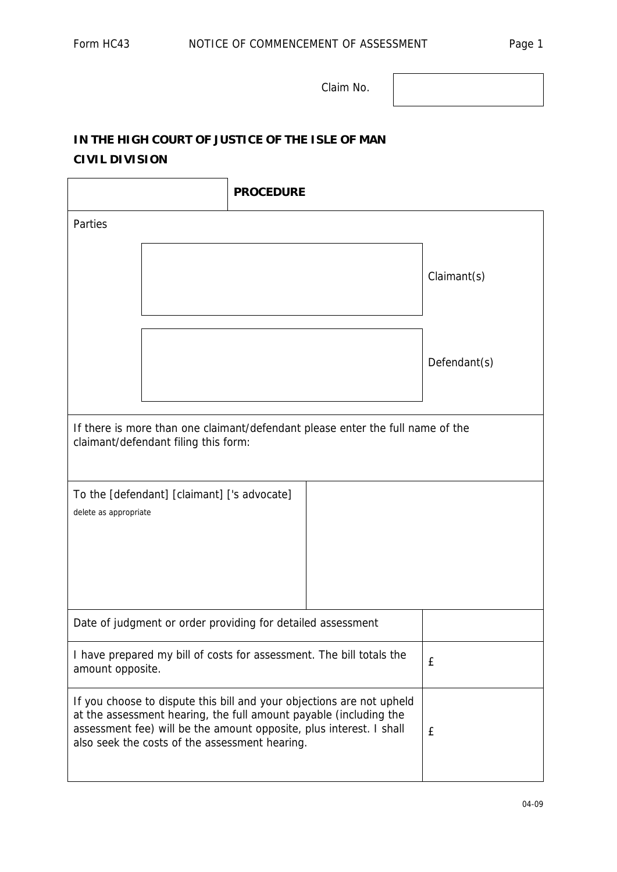Claim No.

## **IN THE HIGH COURT OF JUSTICE OF THE ISLE OF MAN CIVIL DIVISION**

|                                                                                                                                                                                                                                                                     | <b>PROCEDURE</b> |              |  |
|---------------------------------------------------------------------------------------------------------------------------------------------------------------------------------------------------------------------------------------------------------------------|------------------|--------------|--|
| Parties                                                                                                                                                                                                                                                             |                  |              |  |
|                                                                                                                                                                                                                                                                     |                  | Claimant(s)  |  |
|                                                                                                                                                                                                                                                                     |                  | Defendant(s) |  |
| If there is more than one claimant/defendant please enter the full name of the<br>claimant/defendant filing this form:                                                                                                                                              |                  |              |  |
| To the [defendant] [claimant] ['s advocate]<br>delete as appropriate                                                                                                                                                                                                |                  |              |  |
| Date of judgment or order providing for detailed assessment                                                                                                                                                                                                         |                  |              |  |
| I have prepared my bill of costs for assessment. The bill totals the<br>amount opposite.                                                                                                                                                                            |                  | £            |  |
| If you choose to dispute this bill and your objections are not upheld<br>at the assessment hearing, the full amount payable (including the<br>assessment fee) will be the amount opposite, plus interest. I shall<br>also seek the costs of the assessment hearing. |                  | £            |  |